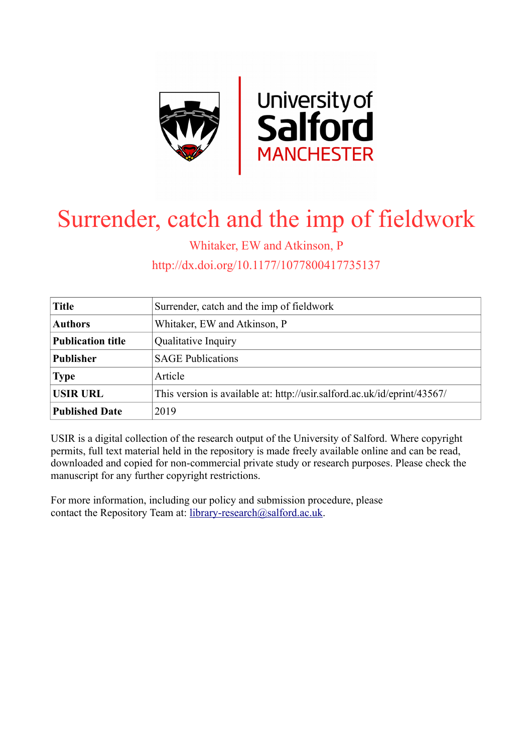

# Surrender, catch and the imp of fieldwork

Whitaker, EW and Atkinson, P

http://dx.doi.org/10.1177/1077800417735137

| <b>Title</b>             | Surrender, catch and the imp of fieldwork                                |  |
|--------------------------|--------------------------------------------------------------------------|--|
| <b>Authors</b>           | Whitaker, EW and Atkinson, P                                             |  |
| <b>Publication title</b> | Qualitative Inquiry                                                      |  |
| <b>Publisher</b>         | <b>SAGE Publications</b>                                                 |  |
| <b>Type</b>              | Article                                                                  |  |
| <b>USIR URL</b>          | This version is available at: http://usir.salford.ac.uk/id/eprint/43567/ |  |
| <b>Published Date</b>    | 2019                                                                     |  |

USIR is a digital collection of the research output of the University of Salford. Where copyright permits, full text material held in the repository is made freely available online and can be read, downloaded and copied for non-commercial private study or research purposes. Please check the manuscript for any further copyright restrictions.

For more information, including our policy and submission procedure, please contact the Repository Team at: [library-research@salford.ac.uk.](mailto:library-research@salford.ac.uk)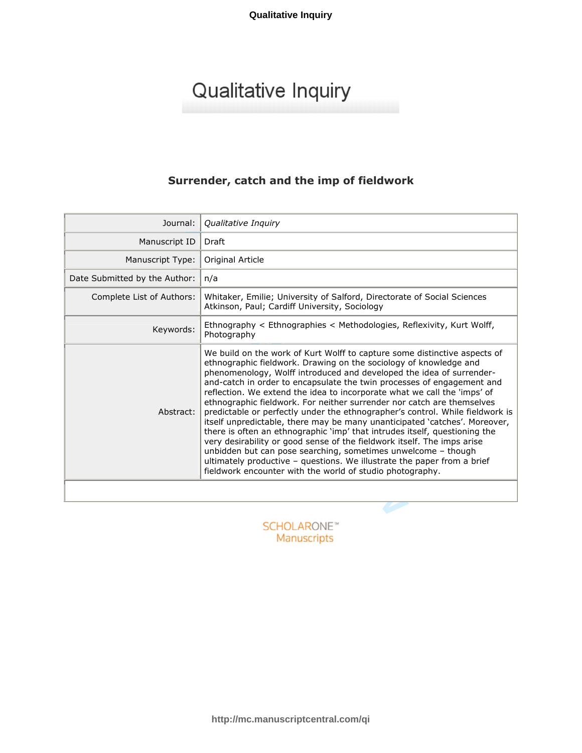## Qualitative Inquiry

### **Surrender, catch and the imp of fieldwork**

| Journal:                      | Qualitative Inquiry                                                                                                                                                                                                                                                                                                                                                                                                                                                                                                                                                                                                                                                                                                                                                                                                                                                                                                                                                                     |
|-------------------------------|-----------------------------------------------------------------------------------------------------------------------------------------------------------------------------------------------------------------------------------------------------------------------------------------------------------------------------------------------------------------------------------------------------------------------------------------------------------------------------------------------------------------------------------------------------------------------------------------------------------------------------------------------------------------------------------------------------------------------------------------------------------------------------------------------------------------------------------------------------------------------------------------------------------------------------------------------------------------------------------------|
| Manuscript ID                 | Draft                                                                                                                                                                                                                                                                                                                                                                                                                                                                                                                                                                                                                                                                                                                                                                                                                                                                                                                                                                                   |
| Manuscript Type:              | Original Article                                                                                                                                                                                                                                                                                                                                                                                                                                                                                                                                                                                                                                                                                                                                                                                                                                                                                                                                                                        |
| Date Submitted by the Author: | n/a                                                                                                                                                                                                                                                                                                                                                                                                                                                                                                                                                                                                                                                                                                                                                                                                                                                                                                                                                                                     |
| Complete List of Authors:     | Whitaker, Emilie; University of Salford, Directorate of Social Sciences<br>Atkinson, Paul; Cardiff University, Sociology                                                                                                                                                                                                                                                                                                                                                                                                                                                                                                                                                                                                                                                                                                                                                                                                                                                                |
| Keywords:                     | Ethnography < Ethnographies < Methodologies, Reflexivity, Kurt Wolff,<br>Photography                                                                                                                                                                                                                                                                                                                                                                                                                                                                                                                                                                                                                                                                                                                                                                                                                                                                                                    |
| Abstract:                     | We build on the work of Kurt Wolff to capture some distinctive aspects of<br>ethnographic fieldwork. Drawing on the sociology of knowledge and<br>phenomenology, Wolff introduced and developed the idea of surrender-<br>and-catch in order to encapsulate the twin processes of engagement and<br>reflection. We extend the idea to incorporate what we call the 'imps' of<br>ethnographic fieldwork. For neither surrender nor catch are themselves<br>predictable or perfectly under the ethnographer's control. While fieldwork is<br>itself unpredictable, there may be many unanticipated 'catches'. Moreover,<br>there is often an ethnographic 'imp' that intrudes itself, questioning the<br>very desirability or good sense of the fieldwork itself. The imps arise<br>unbidden but can pose searching, sometimes unwelcome - though<br>ultimately productive - questions. We illustrate the paper from a brief<br>fieldwork encounter with the world of studio photography. |
|                               |                                                                                                                                                                                                                                                                                                                                                                                                                                                                                                                                                                                                                                                                                                                                                                                                                                                                                                                                                                                         |
|                               |                                                                                                                                                                                                                                                                                                                                                                                                                                                                                                                                                                                                                                                                                                                                                                                                                                                                                                                                                                                         |

Manuscripts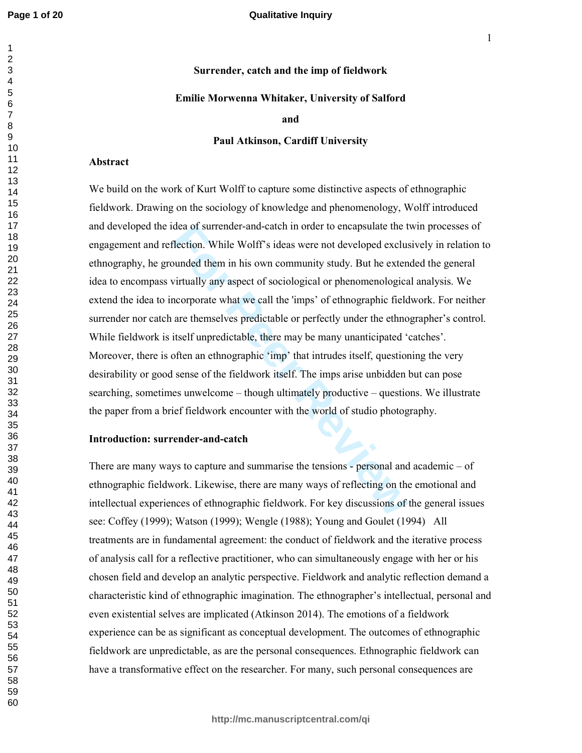**Page 1 of 20**

 $\mathbf{1}$ 

#### **Qualitative Inquiry**

### **Surrender, catch and the imp of fieldwork Emilie Morwenna Whitaker, University of Salford and**

#### **Paul Atkinson, Cardiff University**

#### **Abstract**

dea of surrender-and-catch in order to encapsulate the t<br>flection. While Wolff's ideas were not developed exclus<br>bunded them in his own community study. But he exten<br>virtually any aspect of sociological or phenomenologica<br> We build on the work of Kurt Wolff to capture some distinctive aspects of ethnographic fieldwork. Drawing on the sociology of knowledge and phenomenology, Wolff introduced and developed the idea of surrender-and-catch in order to encapsulate the twin processes of engagement and reflection. While Wolff's ideas were not developed exclusively in relation to ethnography, he grounded them in his own community study. But he extended the general idea to encompass virtually any aspect of sociological or phenomenological analysis. We extend the idea to incorporate what we call the 'imps' of ethnographic fieldwork. For neither surrender nor catch are themselves predictable or perfectly under the ethnographer's control. While fieldwork is itself unpredictable, there may be many unanticipated 'catches'. Moreover, there is often an ethnographic 'imp' that intrudes itself, questioning the very desirability or good sense of the fieldwork itself. The imps arise unbidden but can pose searching, sometimes unwelcome – though ultimately productive – questions. We illustrate the paper from a brief fieldwork encounter with the world of studio photography.

#### **Introduction: surrender-and-catch**

There are many ways to capture and summarise the tensions - personal and academic – of ethnographic fieldwork. Likewise, there are many ways of reflecting on the emotional and intellectual experiences of ethnographic fieldwork. For key discussions of the general issues see: Coffey (1999); Watson (1999); Wengle (1988); Young and Goulet (1994) All treatments are in fundamental agreement: the conduct of fieldwork and the iterative process of analysis call for a reflective practitioner, who can simultaneously engage with her or his chosen field and develop an analytic perspective. Fieldwork and analytic reflection demand a characteristic kind of ethnographic imagination. The ethnographer's intellectual, personal and even existential selves are implicated (Atkinson 2014). The emotions of a fieldwork experience can be as significant as conceptual development. The outcomes of ethnographic fieldwork are unpredictable, as are the personal consequences. Ethnographic fieldwork can have a transformative effect on the researcher. For many, such personal consequences are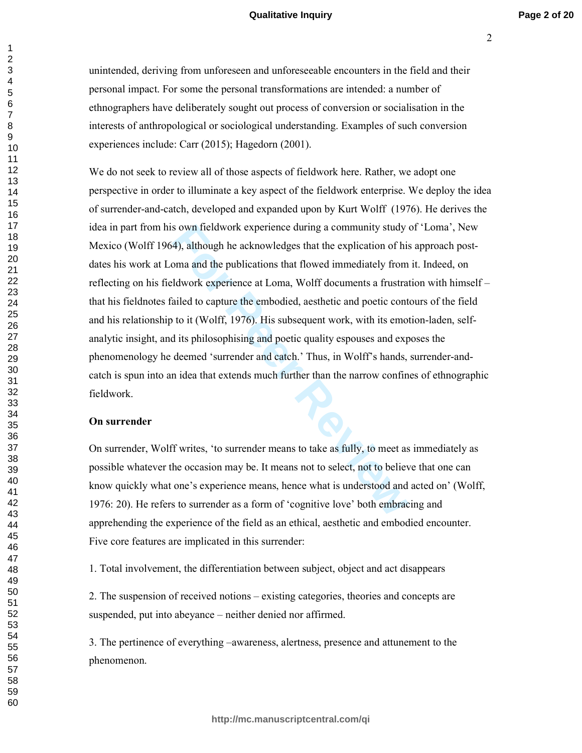unintended, deriving from unforeseen and unforeseeable encounters in the field and their personal impact. For some the personal transformations are intended: a number of ethnographers have deliberately sought out process of conversion or socialisation in the interests of anthropological or sociological understanding. Examples of such conversion experiences include: Carr (2015); Hagedorn (2001).

**Follow Experience during a community study 4**), although he acknowledges that the explication of his oma and the publications that flowed immediately from ddwork experience at Loma, Wolff documents a frustra ailed to capt We do not seek to review all of those aspects of fieldwork here. Rather, we adopt one perspective in order to illuminate a key aspect of the fieldwork enterprise. We deploy the idea of surrender-and-catch, developed and expanded upon by Kurt Wolff (1976). He derives the idea in part from his own fieldwork experience during a community study of 'Loma', New Mexico (Wolff 1964), although he acknowledges that the explication of his approach postdates his work at Loma and the publications that flowed immediately from it. Indeed, on reflecting on his fieldwork experience at Loma, Wolff documents a frustration with himself – that his fieldnotes failed to capture the embodied, aesthetic and poetic contours of the field and his relationship to it (Wolff, 1976). His subsequent work, with its emotion-laden, selfanalytic insight, and its philosophising and poetic quality espouses and exposes the phenomenology he deemed 'surrender and catch.' Thus, in Wolff's hands, surrender-andcatch is spun into an idea that extends much further than the narrow confines of ethnographic fieldwork.

#### **On surrender**

On surrender, Wolff writes, 'to surrender means to take as fully, to meet as immediately as possible whatever the occasion may be. It means not to select, not to believe that one can know quickly what one's experience means, hence what is understood and acted on' (Wolff, 1976: 20). He refers to surrender as a form of 'cognitive love' both embracing and apprehending the experience of the field as an ethical, aesthetic and embodied encounter. Five core features are implicated in this surrender:

1. Total involvement, the differentiation between subject, object and act disappears

2. The suspension of received notions – existing categories, theories and concepts are suspended, put into abeyance – neither denied nor affirmed.

3. The pertinence of everything –awareness, alertness, presence and attunement to the phenomenon.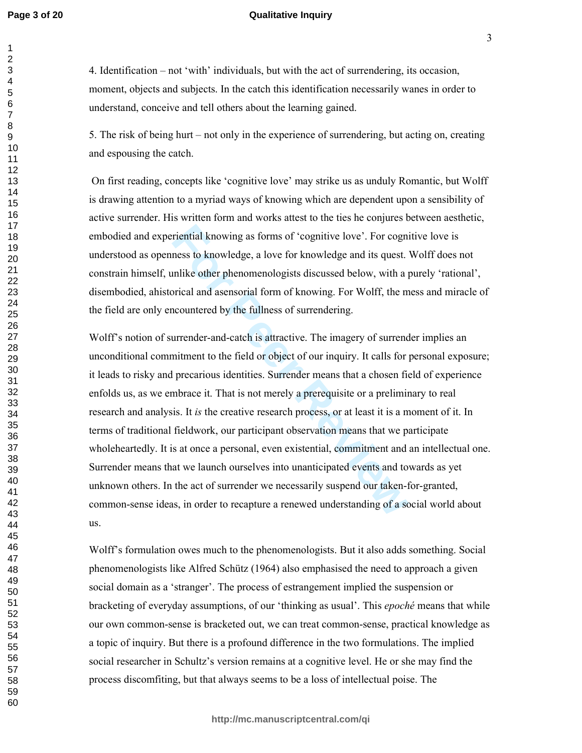$\mathbf{1}$ 

#### **Qualitative Inquiry**

4. Identification – not 'with' individuals, but with the act of surrendering, its occasion, moment, objects and subjects. In the catch this identification necessarily wanes in order to understand, conceive and tell others about the learning gained.

5. The risk of being hurt – not only in the experience of surrendering, but acting on, creating and espousing the catch.

 On first reading, concepts like 'cognitive love' may strike us as unduly Romantic, but Wolff is drawing attention to a myriad ways of knowing which are dependent upon a sensibility of active surrender. His written form and works attest to the ties he conjures between aesthetic, embodied and experiential knowing as forms of 'cognitive love'. For cognitive love is understood as openness to knowledge, a love for knowledge and its quest. Wolff does not constrain himself, unlike other phenomenologists discussed below, with a purely 'rational', disembodied, ahistorical and asensorial form of knowing. For Wolff, the mess and miracle of the field are only encountered by the fullness of surrendering.

riential knowing as forms of 'cognitive love'. For cogniness to knowledge, a love for knowledge and its quest.<br>
inlike other phenomenologists discussed below, with a prical and asensorial form of knowing. For Wolff, the m<br> Wolff's notion of surrender-and-catch is attractive. The imagery of surrender implies an unconditional commitment to the field or object of our inquiry. It calls for personal exposure; it leads to risky and precarious identities. Surrender means that a chosen field of experience enfolds us, as we embrace it. That is not merely a prerequisite or a preliminary to real research and analysis. It *is* the creative research process, or at least it is a moment of it. In terms of traditional fieldwork, our participant observation means that we participate wholeheartedly. It is at once a personal, even existential, commitment and an intellectual one. Surrender means that we launch ourselves into unanticipated events and towards as yet unknown others. In the act of surrender we necessarily suspend our taken-for-granted, common-sense ideas, in order to recapture a renewed understanding of a social world about us.

Wolff's formulation owes much to the phenomenologists. But it also adds something. Social phenomenologists like Alfred Schütz (1964) also emphasised the need to approach a given social domain as a 'stranger'. The process of estrangement implied the suspension or bracketing of everyday assumptions, of our 'thinking as usual'. This *epoché* means that while our own common-sense is bracketed out, we can treat common-sense, practical knowledge as a topic of inquiry. But there is a profound difference in the two formulations. The implied social researcher in Schultz's version remains at a cognitive level. He or she may find the process discomfiting, but that always seems to be a loss of intellectual poise. The

**http://mc.manuscriptcentral.com/qi**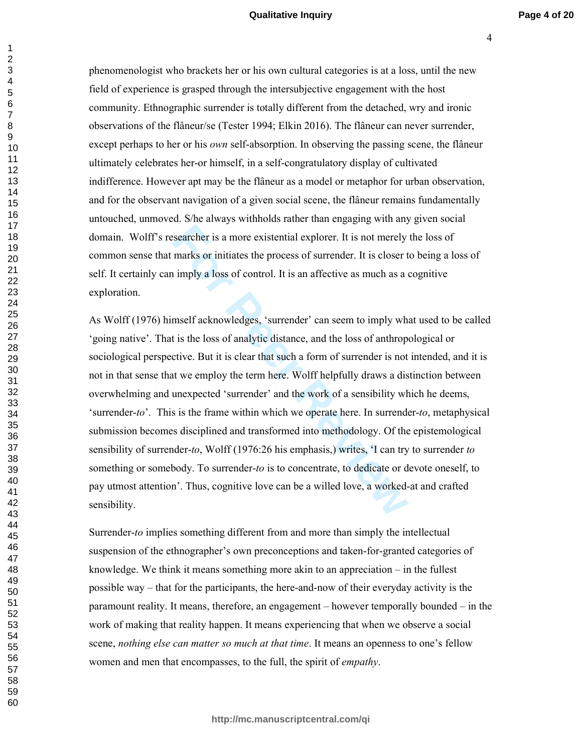phenomenologist who brackets her or his own cultural categories is at a loss, until the new field of experience is grasped through the intersubjective engagement with the host community. Ethnographic surrender is totally different from the detached, wry and ironic observations of the flâneur/se (Tester 1994; Elkin 2016). The flâneur can never surrender, except perhaps to her or his *own* self-absorption. In observing the passing scene, the flâneur ultimately celebrates her-or himself, in a self-congratulatory display of cultivated indifference. However apt may be the flâneur as a model or metaphor for urban observation, and for the observant navigation of a given social scene, the flâneur remains fundamentally untouched, unmoved. S/he always withholds rather than engaging with any given social domain. Wolff's researcher is a more existential explorer. It is not merely the loss of common sense that marks or initiates the process of surrender. It is closer to being a loss of self. It certainly can imply a loss of control. It is an affective as much as a cognitive exploration.

**Example 1** is a more existential explorer. It is not merely marks or initiates the process of surrender. It is closer to imply a loss of control. It is an affective as much as a  $\alpha$  much as a  $\alpha$  much as a  $\alpha$  much as As Wolff (1976) himself acknowledges, 'surrender' can seem to imply what used to be called 'going native'. That is the loss of analytic distance, and the loss of anthropological or sociological perspective. But it is clear that such a form of surrender is not intended, and it is not in that sense that we employ the term here. Wolff helpfully draws a distinction between overwhelming and unexpected 'surrender' and the work of a sensibility which he deems, 'surrender-*to*'. This is the frame within which we operate here. In surrender-*to*, metaphysical submission becomes disciplined and transformed into methodology. Of the epistemological sensibility of surrender-*to*, Wolff (1976:26 his emphasis,) writes, 'I can try to surrender *to* something or somebody. To surrender-*to* is to concentrate, to dedicate or devote oneself, to pay utmost attention'. Thus, cognitive love can be a willed love, a worked-at and crafted sensibility.

Surrender-*to* implies something different from and more than simply the intellectual suspension of the ethnographer's own preconceptions and taken-for-granted categories of knowledge. We think it means something more akin to an appreciation – in the fullest possible way – that for the participants, the here-and-now of their everyday activity is the paramount reality. It means, therefore, an engagement – however temporally bounded – in the work of making that reality happen. It means experiencing that when we observe a social scene, *nothing else can matter so much at that time*. It means an openness to one's fellow women and men that encompasses, to the full, the spirit of *empathy*.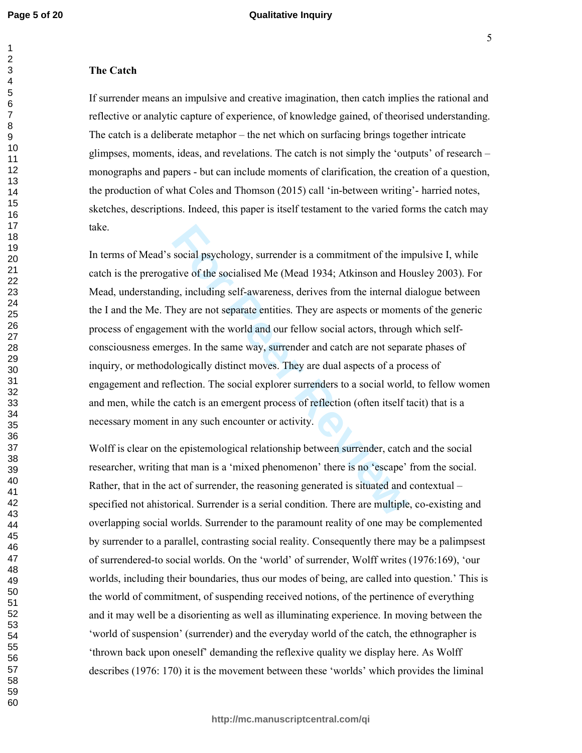#### **The Catch**

If surrender means an impulsive and creative imagination, then catch implies the rational and reflective or analytic capture of experience, of knowledge gained, of theorised understanding. The catch is a deliberate metaphor – the net which on surfacing brings together intricate glimpses, moments, ideas, and revelations. The catch is not simply the 'outputs' of research – monographs and papers - but can include moments of clarification, the creation of a question, the production of what Coles and Thomson (2015) call 'in-between writing'- harried notes, sketches, descriptions. Indeed, this paper is itself testament to the varied forms the catch may take.

social psychology, surrender is a commitment of the intive of the socialised Me (Mead 1934; Atkinson and Hc g, including self-awareness, derives from the internal d hey are not separate entities. They are aspects or moment In terms of Mead's social psychology, surrender is a commitment of the impulsive I, while catch is the prerogative of the socialised Me (Mead 1934; Atkinson and Housley 2003). For Mead, understanding, including self-awareness, derives from the internal dialogue between the I and the Me. They are not separate entities. They are aspects or moments of the generic process of engagement with the world and our fellow social actors, through which selfconsciousness emerges. In the same way, surrender and catch are not separate phases of inquiry, or methodologically distinct moves. They are dual aspects of a process of engagement and reflection. The social explorer surrenders to a social world, to fellow women and men, while the catch is an emergent process of reflection (often itself tacit) that is a necessary moment in any such encounter or activity.

Wolff is clear on the epistemological relationship between surrender, catch and the social researcher, writing that man is a 'mixed phenomenon' there is no 'escape' from the social. Rather, that in the act of surrender, the reasoning generated is situated and contextual – specified not ahistorical. Surrender is a serial condition. There are multiple, co-existing and overlapping social worlds. Surrender to the paramount reality of one may be complemented by surrender to a parallel, contrasting social reality. Consequently there may be a palimpsest of surrendered-to social worlds. On the 'world' of surrender, Wolff writes (1976:169), 'our worlds, including their boundaries, thus our modes of being, are called into question.' This is the world of commitment, of suspending received notions, of the pertinence of everything and it may well be a disorienting as well as illuminating experience. In moving between the 'world of suspension' (surrender) and the everyday world of the catch, the ethnographer is 'thrown back upon oneself' demanding the reflexive quality we display here. As Wolff describes (1976: 170) it is the movement between these 'worlds' which provides the liminal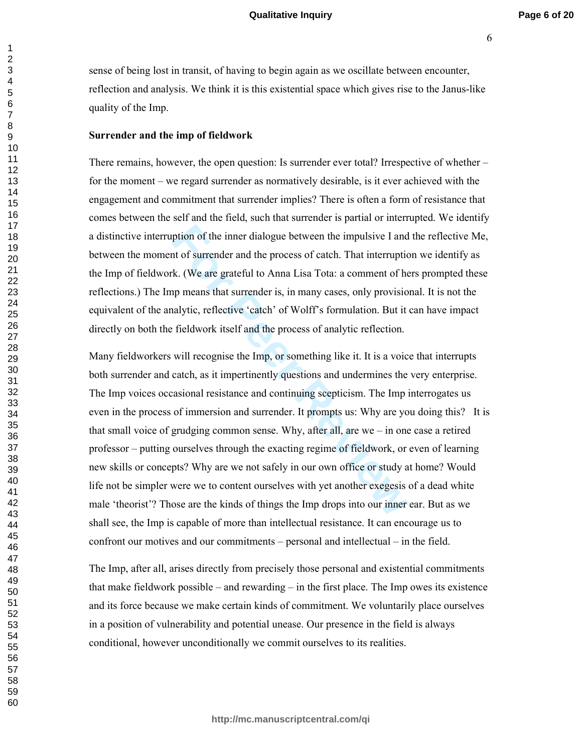sense of being lost in transit, of having to begin again as we oscillate between encounter, reflection and analysis. We think it is this existential space which gives rise to the Janus-like quality of the Imp.

#### **Surrender and the imp of fieldwork**

There remains, however, the open question: Is surrender ever total? Irrespective of whether – for the moment – we regard surrender as normatively desirable, is it ever achieved with the engagement and commitment that surrender implies? There is often a form of resistance that comes between the self and the field, such that surrender is partial or interrupted. We identify a distinctive interruption of the inner dialogue between the impulsive I and the reflective Me, between the moment of surrender and the process of catch. That interruption we identify as the Imp of fieldwork. (We are grateful to Anna Lisa Tota: a comment of hers prompted these reflections.) The Imp means that surrender is, in many cases, only provisional. It is not the equivalent of the analytic, reflective 'catch' of Wolff's formulation. But it can have impact directly on both the fieldwork itself and the process of analytic reflection.

ption of the inner dialogue between the impulsive I and<br>the of surrender and the process of catch. That interruptic<br>k. (We are grateful to Anna Lisa Tota: a comment of he<br>pp means that surrender is, in many cases, only pro Many fieldworkers will recognise the Imp, or something like it. It is a voice that interrupts both surrender and catch, as it impertinently questions and undermines the very enterprise. The Imp voices occasional resistance and continuing scepticism. The Imp interrogates us even in the process of immersion and surrender. It prompts us: Why are you doing this? It is that small voice of grudging common sense. Why, after all, are we – in one case a retired professor – putting ourselves through the exacting regime of fieldwork, or even of learning new skills or concepts? Why are we not safely in our own office or study at home? Would life not be simpler were we to content ourselves with yet another exegesis of a dead white male 'theorist'? Those are the kinds of things the Imp drops into our inner ear. But as we shall see, the Imp is capable of more than intellectual resistance. It can encourage us to confront our motives and our commitments – personal and intellectual – in the field.

The Imp, after all, arises directly from precisely those personal and existential commitments that make fieldwork possible – and rewarding – in the first place. The Imp owes its existence and its force because we make certain kinds of commitment. We voluntarily place ourselves in a position of vulnerability and potential unease. Our presence in the field is always conditional, however unconditionally we commit ourselves to its realities.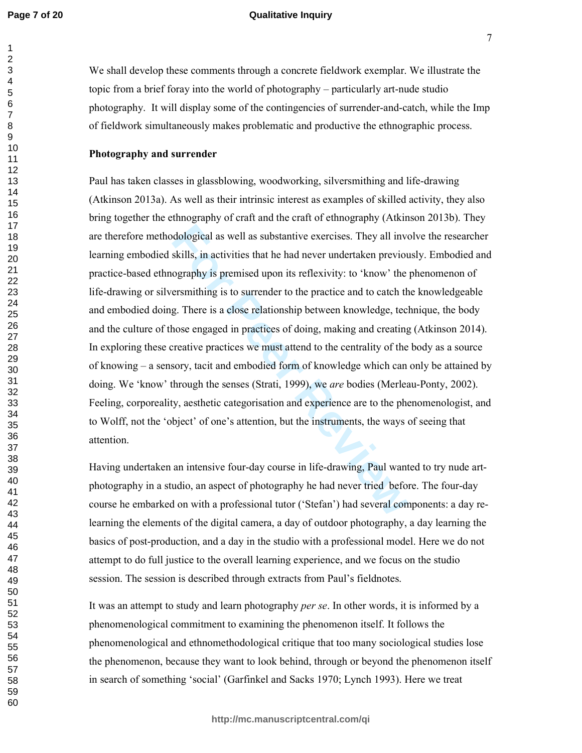We shall develop these comments through a concrete fieldwork exemplar. We illustrate the topic from a brief foray into the world of photography – particularly art-nude studio photography. It will display some of the contingencies of surrender-and-catch, while the Imp of fieldwork simultaneously makes problematic and productive the ethnographic process.

#### **Photography and surrender**

dological as well as substantive exercises. They all invertially, in activities that he had never undertaken previous ography is premised upon its reflexivity: to 'know' the ersmithing is to surrender to the practice and t Paul has taken classes in glassblowing, woodworking, silversmithing and life-drawing (Atkinson 2013a). As well as their intrinsic interest as examples of skilled activity, they also bring together the ethnography of craft and the craft of ethnography (Atkinson 2013b). They are therefore methodological as well as substantive exercises. They all involve the researcher learning embodied skills, in activities that he had never undertaken previously. Embodied and practice-based ethnography is premised upon its reflexivity: to 'know' the phenomenon of life-drawing or silversmithing is to surrender to the practice and to catch the knowledgeable and embodied doing. There is a close relationship between knowledge, technique, the body and the culture of those engaged in practices of doing, making and creating (Atkinson 2014). In exploring these creative practices we must attend to the centrality of the body as a source of knowing – a sensory, tacit and embodied form of knowledge which can only be attained by doing. We 'know' through the senses (Strati, 1999), we *are* bodies (Merleau-Ponty, 2002). Feeling, corporeality, aesthetic categorisation and experience are to the phenomenologist, and to Wolff, not the 'object' of one's attention, but the instruments, the ways of seeing that attention.

Having undertaken an intensive four-day course in life-drawing, Paul wanted to try nude artphotography in a studio, an aspect of photography he had never tried before. The four-day course he embarked on with a professional tutor ('Stefan') had several components: a day relearning the elements of the digital camera, a day of outdoor photography, a day learning the basics of post-production, and a day in the studio with a professional model. Here we do not attempt to do full justice to the overall learning experience, and we focus on the studio session. The session is described through extracts from Paul's fieldnotes.

It was an attempt to study and learn photography *per se*. In other words, it is informed by a phenomenological commitment to examining the phenomenon itself. It follows the phenomenological and ethnomethodological critique that too many sociological studies lose the phenomenon, because they want to look behind, through or beyond the phenomenon itself in search of something 'social' (Garfinkel and Sacks 1970; Lynch 1993). Here we treat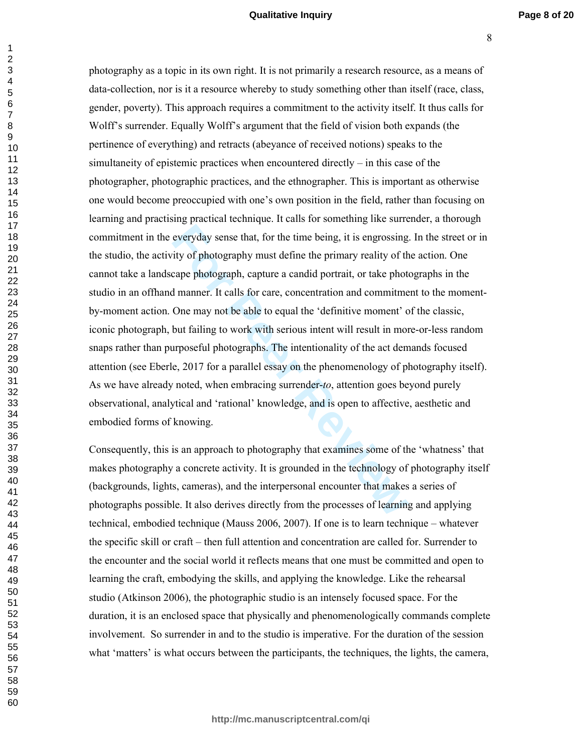**For Peryday sense that, for the time being, it is engrossing everyday sense that, for the time being, it is engrossing ity of photography must define the primary reality of the cape photograph, capture a candid portrait,** photography as a topic in its own right. It is not primarily a research resource, as a means of data-collection, nor is it a resource whereby to study something other than itself (race, class, gender, poverty). This approach requires a commitment to the activity itself. It thus calls for Wolff's surrender. Equally Wolff's argument that the field of vision both expands (the pertinence of everything) and retracts (abeyance of received notions) speaks to the simultaneity of epistemic practices when encountered directly – in this case of the photographer, photographic practices, and the ethnographer. This is important as otherwise one would become preoccupied with one's own position in the field, rather than focusing on learning and practising practical technique. It calls for something like surrender, a thorough commitment in the everyday sense that, for the time being, it is engrossing. In the street or in the studio, the activity of photography must define the primary reality of the action. One cannot take a landscape photograph, capture a candid portrait, or take photographs in the studio in an offhand manner. It calls for care, concentration and commitment to the momentby-moment action. One may not be able to equal the 'definitive moment' of the classic, iconic photograph, but failing to work with serious intent will result in more-or-less random snaps rather than purposeful photographs. The intentionality of the act demands focused attention (see Eberle, 2017 for a parallel essay on the phenomenology of photography itself). As we have already noted, when embracing surrender-*to*, attention goes beyond purely observational, analytical and 'rational' knowledge, and is open to affective, aesthetic and embodied forms of knowing.

Consequently, this is an approach to photography that examines some of the 'whatness' that makes photography a concrete activity. It is grounded in the technology of photography itself (backgrounds, lights, cameras), and the interpersonal encounter that makes a series of photographs possible. It also derives directly from the processes of learning and applying technical, embodied technique (Mauss 2006, 2007). If one is to learn technique – whatever the specific skill or craft – then full attention and concentration are called for. Surrender to the encounter and the social world it reflects means that one must be committed and open to learning the craft, embodying the skills, and applying the knowledge. Like the rehearsal studio (Atkinson 2006), the photographic studio is an intensely focused space. For the duration, it is an enclosed space that physically and phenomenologically commands complete involvement. So surrender in and to the studio is imperative. For the duration of the session what 'matters' is what occurs between the participants, the techniques, the lights, the camera,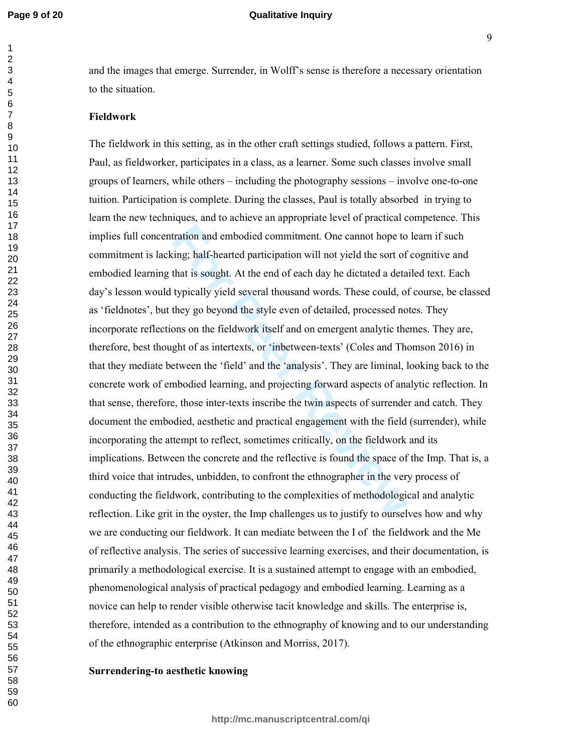#### **Qualitative Inquiry**

and the images that emerge. Surrender, in Wolff's sense is therefore a necessary orientation to the situation.

#### **Fieldwork**

tration and embodied commitment. One cannot hope to ting; half-hearted participation will not yield the sort of that is sought. At the end of each day he dictated a detail typically yield several thousand words. These coul The fieldwork in this setting, as in the other craft settings studied, follows a pattern. First, Paul, as fieldworker, participates in a class, as a learner. Some such classes involve small groups of learners, while others – including the photography sessions – involve one-to-one tuition. Participation is complete. During the classes, Paul is totally absorbed in trying to learn the new techniques, and to achieve an appropriate level of practical competence. This implies full concentration and embodied commitment. One cannot hope to learn if such commitment is lacking; half-hearted participation will not yield the sort of cognitive and embodied learning that is sought. At the end of each day he dictated a detailed text. Each day's lesson would typically yield several thousand words. These could, of course, be classed as 'fieldnotes', but they go beyond the style even of detailed, processed notes. They incorporate reflections on the fieldwork itself and on emergent analytic themes. They are, therefore, best thought of as intertexts, or 'inbetween-texts' (Coles and Thomson 2016) in that they mediate between the 'field' and the 'analysis'. They are liminal, looking back to the concrete work of embodied learning, and projecting forward aspects of analytic reflection. In that sense, therefore, those inter-texts inscribe the twin aspects of surrender and catch. They document the embodied, aesthetic and practical engagement with the field (surrender), while incorporating the attempt to reflect, sometimes critically, on the fieldwork and its implications. Between the concrete and the reflective is found the space of the Imp. That is, a third voice that intrudes, unbidden, to confront the ethnographer in the very process of conducting the fieldwork, contributing to the complexities of methodological and analytic reflection. Like grit in the oyster, the Imp challenges us to justify to ourselves how and why we are conducting our fieldwork. It can mediate between the I of the fieldwork and the Me of reflective analysis. The series of successive learning exercises, and their documentation, is primarily a methodological exercise. It is a sustained attempt to engage with an embodied, phenomenological analysis of practical pedagogy and embodied learning. Learning as a novice can help to render visible otherwise tacit knowledge and skills. The enterprise is, therefore, intended as a contribution to the ethnography of knowing and to our understanding of the ethnographic enterprise (Atkinson and Morriss, 2017).

#### **Surrendering-to aesthetic knowing**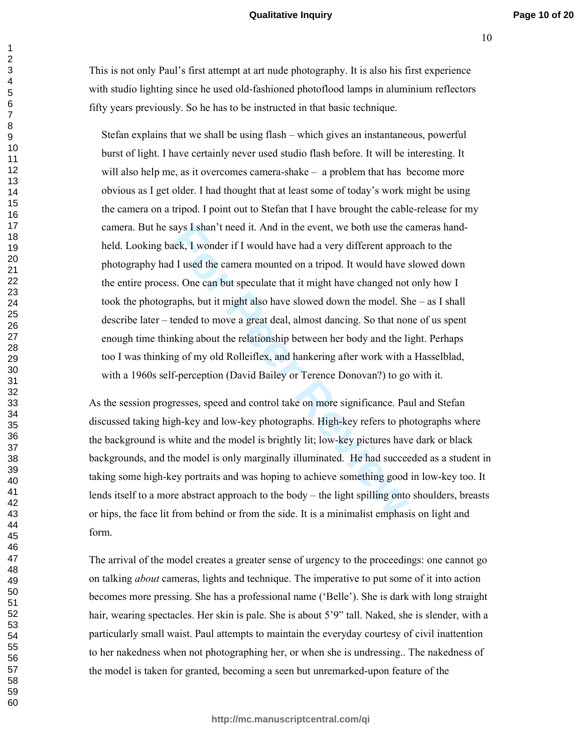This is not only Paul's first attempt at art nude photography. It is also his first experience with studio lighting since he used old-fashioned photoflood lamps in aluminium reflectors fifty years previously. So he has to be instructed in that basic technique.

ays I shan't need it. And in the event, we both use the c<br>ack, I wonder if I would have had a very different appro<br>I I used the camera mounted on a tripod. It would have :<br>s. One can but speculate that it might have change Stefan explains that we shall be using flash – which gives an instantaneous, powerful burst of light. I have certainly never used studio flash before. It will be interesting. It will also help me, as it overcomes camera-shake – a problem that has become more obvious as I get older. I had thought that at least some of today's work might be using the camera on a tripod. I point out to Stefan that I have brought the cable-release for my camera. But he says I shan't need it. And in the event, we both use the cameras handheld. Looking back, I wonder if I would have had a very different approach to the photography had I used the camera mounted on a tripod. It would have slowed down the entire process. One can but speculate that it might have changed not only how I took the photographs, but it might also have slowed down the model. She – as I shall describe later – tended to move a great deal, almost dancing. So that none of us spent enough time thinking about the relationship between her body and the light. Perhaps too I was thinking of my old Rolleiflex, and hankering after work with a Hasselblad, with a 1960s self-perception (David Bailey or Terence Donovan?) to go with it.

As the session progresses, speed and control take on more significance. Paul and Stefan discussed taking high-key and low-key photographs. High-key refers to photographs where the background is white and the model is brightly lit; low-key pictures have dark or black backgrounds, and the model is only marginally illuminated. He had succeeded as a student in taking some high-key portraits and was hoping to achieve something good in low-key too. It lends itself to a more abstract approach to the body – the light spilling onto shoulders, breasts or hips, the face lit from behind or from the side. It is a minimalist emphasis on light and form.

The arrival of the model creates a greater sense of urgency to the proceedings: one cannot go on talking *about* cameras, lights and technique. The imperative to put some of it into action becomes more pressing. She has a professional name ('Belle'). She is dark with long straight hair, wearing spectacles. Her skin is pale. She is about 5'9" tall. Naked, she is slender, with a particularly small waist. Paul attempts to maintain the everyday courtesy of civil inattention to her nakedness when not photographing her, or when she is undressing.. The nakedness of the model is taken for granted, becoming a seen but unremarked-upon feature of the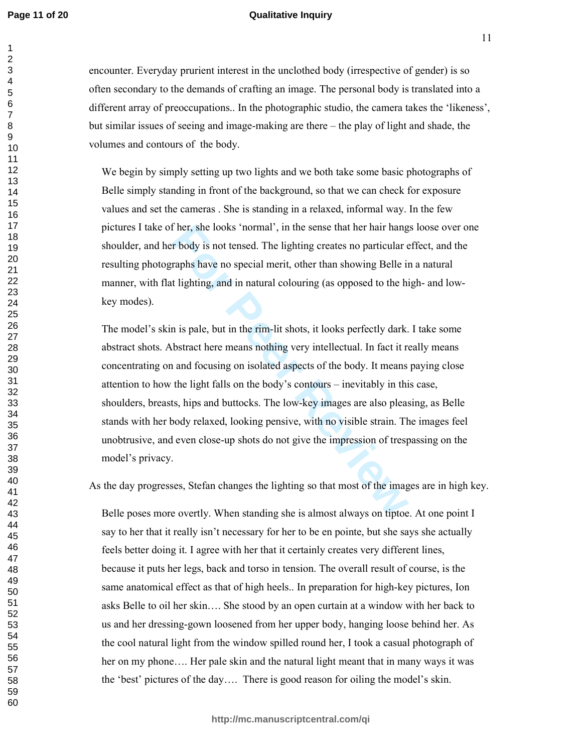#### **Qualitative Inquiry**

encounter. Everyday prurient interest in the unclothed body (irrespective of gender) is so often secondary to the demands of crafting an image. The personal body is translated into a different array of preoccupations.. In the photographic studio, the camera takes the 'likeness', but similar issues of seeing and image-making are there – the play of light and shade, the volumes and contours of the body.

We begin by simply setting up two lights and we both take some basic photographs of Belle simply standing in front of the background, so that we can check for exposure values and set the cameras . She is standing in a relaxed, informal way. In the few pictures I take of her, she looks 'normal', in the sense that her hair hangs loose over one shoulder, and her body is not tensed. The lighting creates no particular effect, and the resulting photographs have no special merit, other than showing Belle in a natural manner, with flat lighting, and in natural colouring (as opposed to the high- and lowkey modes).

F her, she looks 'normal', in the sense that her hair hang<br> **F** body is not tensed. The lighting creates no particular e<br> **For Formal Propertion** and in natural colouring (as opposed to the hi<br> **Highting, and in natural co** The model's skin is pale, but in the rim-lit shots, it looks perfectly dark. I take some abstract shots. Abstract here means nothing very intellectual. In fact it really means concentrating on and focusing on isolated aspects of the body. It means paying close attention to how the light falls on the body's contours – inevitably in this case, shoulders, breasts, hips and buttocks. The low-key images are also pleasing, as Belle stands with her body relaxed, looking pensive, with no visible strain. The images feel unobtrusive, and even close-up shots do not give the impression of trespassing on the model's privacy.

As the day progresses, Stefan changes the lighting so that most of the images are in high key.

Belle poses more overtly. When standing she is almost always on tiptoe. At one point I say to her that it really isn't necessary for her to be en pointe, but she says she actually feels better doing it. I agree with her that it certainly creates very different lines, because it puts her legs, back and torso in tension. The overall result of course, is the same anatomical effect as that of high heels.. In preparation for high-key pictures, Ion asks Belle to oil her skin…. She stood by an open curtain at a window with her back to us and her dressing-gown loosened from her upper body, hanging loose behind her. As the cool natural light from the window spilled round her, I took a casual photograph of her on my phone…. Her pale skin and the natural light meant that in many ways it was the 'best' pictures of the day…. There is good reason for oiling the model's skin.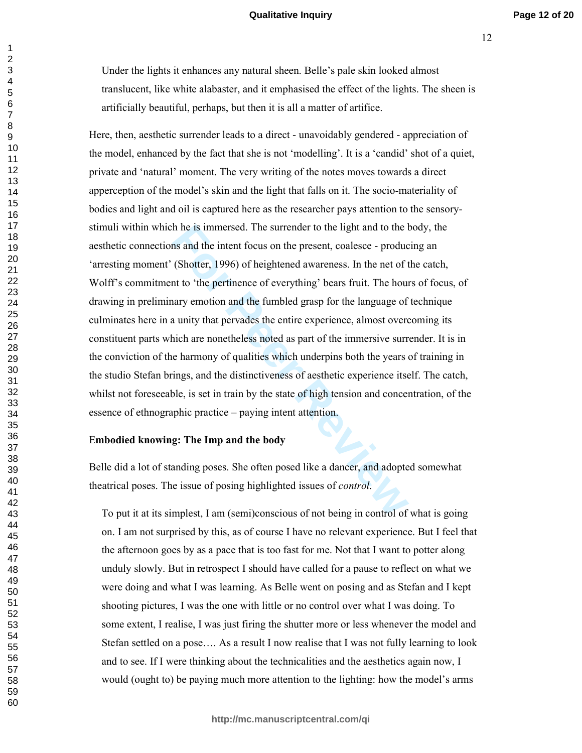Under the lights it enhances any natural sheen. Belle's pale skin looked almost translucent, like white alabaster, and it emphasised the effect of the lights. The sheen is artificially beautiful, perhaps, but then it is all a matter of artifice.

h he is immersed. The surrender to the light and to the l<br>ns and the intent focus on the present, coalesce - produc<br>(Shotter, 1996) of heightened awareness. In the net of t<br>nt to 'the perfinence of everything' bears fruit. Here, then, aesthetic surrender leads to a direct - unavoidably gendered - appreciation of the model, enhanced by the fact that she is not 'modelling'. It is a 'candid' shot of a quiet, private and 'natural' moment. The very writing of the notes moves towards a direct apperception of the model's skin and the light that falls on it. The socio-materiality of bodies and light and oil is captured here as the researcher pays attention to the sensorystimuli within which he is immersed. The surrender to the light and to the body, the aesthetic connections and the intent focus on the present, coalesce - producing an 'arresting moment' (Shotter, 1996) of heightened awareness. In the net of the catch, Wolff's commitment to 'the pertinence of everything' bears fruit. The hours of focus, of drawing in preliminary emotion and the fumbled grasp for the language of technique culminates here in a unity that pervades the entire experience, almost overcoming its constituent parts which are nonetheless noted as part of the immersive surrender. It is in the conviction of the harmony of qualities which underpins both the years of training in the studio Stefan brings, and the distinctiveness of aesthetic experience itself. The catch, whilst not foreseeable, is set in train by the state of high tension and concentration, of the essence of ethnographic practice – paying intent attention. E**mbodied knowing: The Imp and the body** 

Belle did a lot of standing poses. She often posed like a dancer, and adopted somewhat theatrical poses. The issue of posing highlighted issues of *control*.

To put it at its simplest, I am (semi)conscious of not being in control of what is going on. I am not surprised by this, as of course I have no relevant experience. But I feel that the afternoon goes by as a pace that is too fast for me. Not that I want to potter along unduly slowly. But in retrospect I should have called for a pause to reflect on what we were doing and what I was learning. As Belle went on posing and as Stefan and I kept shooting pictures, I was the one with little or no control over what I was doing. To some extent, I realise, I was just firing the shutter more or less whenever the model and Stefan settled on a pose…. As a result I now realise that I was not fully learning to look and to see. If I were thinking about the technicalities and the aesthetics again now, I would (ought to) be paying much more attention to the lighting: how the model's arms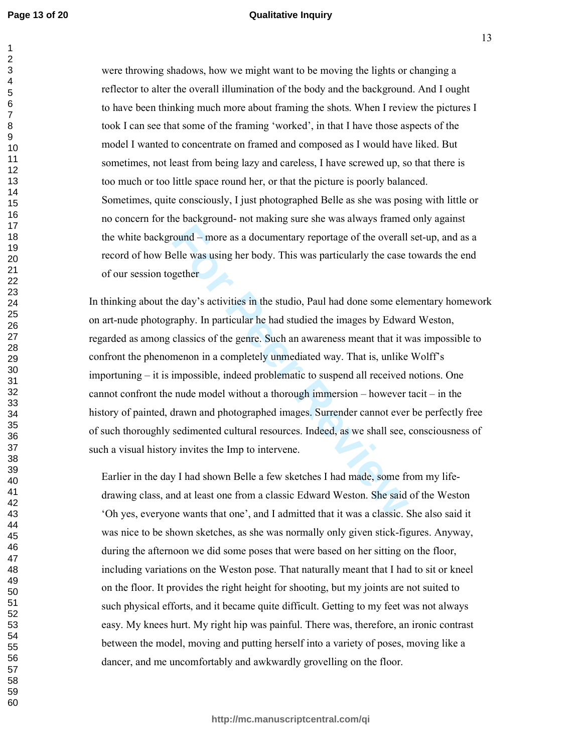were throwing shadows, how we might want to be moving the lights or changing a reflector to alter the overall illumination of the body and the background. And I ought to have been thinking much more about framing the shots. When I review the pictures I took I can see that some of the framing 'worked', in that I have those aspects of the model I wanted to concentrate on framed and composed as I would have liked. But sometimes, not least from being lazy and careless, I have screwed up, so that there is too much or too little space round her, or that the picture is poorly balanced. Sometimes, quite consciously, I just photographed Belle as she was posing with little or no concern for the background- not making sure she was always framed only against the white background – more as a documentary reportage of the overall set-up, and as a record of how Belle was using her body. This was particularly the case towards the end of our session together

ound – more as a documentary reportage of the overall<br>elle was using her body. This was particularly the case t<br>gether<br>e day's activities in the studio, Paul had done some eler<br>raphy. In particular he had studied the image In thinking about the day's activities in the studio, Paul had done some elementary homework on art-nude photography. In particular he had studied the images by Edward Weston, regarded as among classics of the genre. Such an awareness meant that it was impossible to confront the phenomenon in a completely unmediated way. That is, unlike Wolff's importuning – it is impossible, indeed problematic to suspend all received notions. One cannot confront the nude model without a thorough immersion – however tacit – in the history of painted, drawn and photographed images. Surrender cannot ever be perfectly free of such thoroughly sedimented cultural resources. Indeed, as we shall see, consciousness of such a visual history invites the Imp to intervene.

Earlier in the day I had shown Belle a few sketches I had made, some from my lifedrawing class, and at least one from a classic Edward Weston. She said of the Weston 'Oh yes, everyone wants that one', and I admitted that it was a classic. She also said it was nice to be shown sketches, as she was normally only given stick-figures. Anyway, during the afternoon we did some poses that were based on her sitting on the floor, including variations on the Weston pose. That naturally meant that I had to sit or kneel on the floor. It provides the right height for shooting, but my joints are not suited to such physical efforts, and it became quite difficult. Getting to my feet was not always easy. My knees hurt. My right hip was painful. There was, therefore, an ironic contrast between the model, moving and putting herself into a variety of poses, moving like a dancer, and me uncomfortably and awkwardly grovelling on the floor.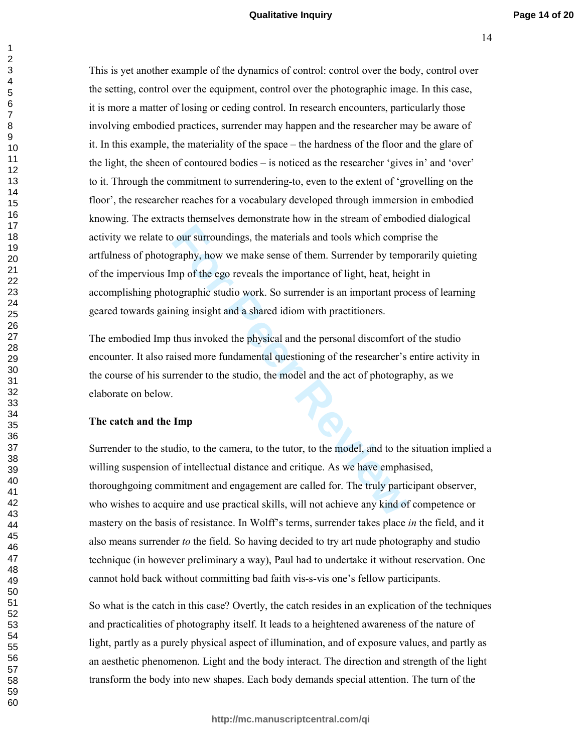of the materials and tools which comproved providing to the materials and tools which compropared by temptom of the ego reveals the importance of light, heat, height compared by temptom of the ego reveals the importance of This is yet another example of the dynamics of control: control over the body, control over the setting, control over the equipment, control over the photographic image. In this case, it is more a matter of losing or ceding control. In research encounters, particularly those involving embodied practices, surrender may happen and the researcher may be aware of it. In this example, the materiality of the space – the hardness of the floor and the glare of the light, the sheen of contoured bodies – is noticed as the researcher 'gives in' and 'over' to it. Through the commitment to surrendering-to, even to the extent of 'grovelling on the floor', the researcher reaches for a vocabulary developed through immersion in embodied knowing. The extracts themselves demonstrate how in the stream of embodied dialogical activity we relate to our surroundings, the materials and tools which comprise the artfulness of photography, how we make sense of them. Surrender by temporarily quieting of the impervious Imp of the ego reveals the importance of light, heat, height in accomplishing photographic studio work. So surrender is an important process of learning geared towards gaining insight and a shared idiom with practitioners.

The embodied Imp thus invoked the physical and the personal discomfort of the studio encounter. It also raised more fundamental questioning of the researcher's entire activity in the course of his surrender to the studio, the model and the act of photography, as we elaborate on below.

#### **The catch and the Imp**

Surrender to the studio, to the camera, to the tutor, to the model, and to the situation implied a willing suspension of intellectual distance and critique. As we have emphasised, thoroughgoing commitment and engagement are called for. The truly participant observer, who wishes to acquire and use practical skills, will not achieve any kind of competence or mastery on the basis of resistance. In Wolff's terms, surrender takes place *in* the field, and it also means surrender *to* the field. So having decided to try art nude photography and studio technique (in however preliminary a way), Paul had to undertake it without reservation. One cannot hold back without committing bad faith vis-s-vis one's fellow participants.

So what is the catch in this case? Overtly, the catch resides in an explication of the techniques and practicalities of photography itself. It leads to a heightened awareness of the nature of light, partly as a purely physical aspect of illumination, and of exposure values, and partly as an aesthetic phenomenon. Light and the body interact. The direction and strength of the light transform the body into new shapes. Each body demands special attention. The turn of the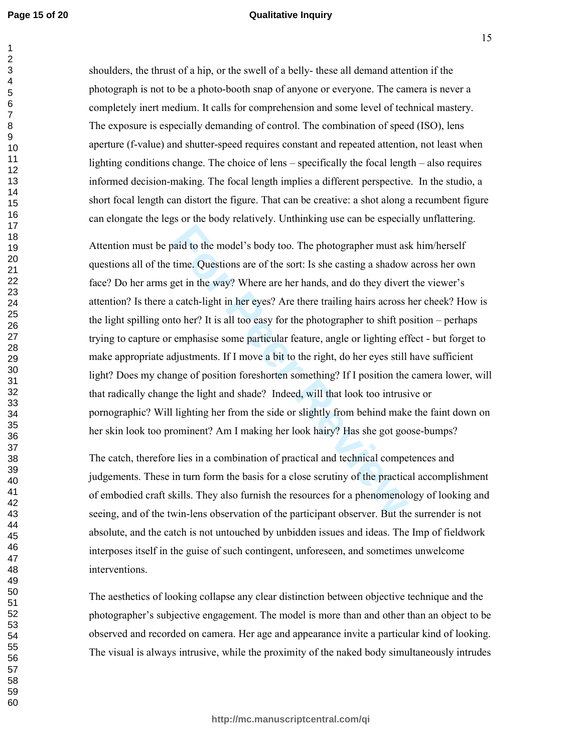shoulders, the thrust of a hip, or the swell of a belly- these all demand attention if the photograph is not to be a photo-booth snap of anyone or everyone. The camera is never a completely inert medium. It calls for comprehension and some level of technical mastery. The exposure is especially demanding of control. The combination of speed (ISO), lens aperture (f-value) and shutter-speed requires constant and repeated attention, not least when lighting conditions change. The choice of lens – specifically the focal length – also requires informed decision-making. The focal length implies a different perspective. In the studio, a short focal length can distort the figure. That can be creative: a shot along a recumbent figure can elongate the legs or the body relatively. Unthinking use can be especially unflattering.

axid to the model's body too. The photographer must as<br>time. Questions are of the sort: Is she casting a shadow<br>get in the way? Where are her hands, and do they divert<br>catch-light in her eyes? Are there trailing hairs acro Attention must be paid to the model's body too. The photographer must ask him/herself questions all of the time. Questions are of the sort: Is she casting a shadow across her own face? Do her arms get in the way? Where are her hands, and do they divert the viewer's attention? Is there a catch-light in her eyes? Are there trailing hairs across her cheek? How is the light spilling onto her? It is all too easy for the photographer to shift position – perhaps trying to capture or emphasise some particular feature, angle or lighting effect - but forget to make appropriate adjustments. If I move a bit to the right, do her eyes still have sufficient light? Does my change of position foreshorten something? If I position the camera lower, will that radically change the light and shade? Indeed, will that look too intrusive or pornographic? Will lighting her from the side or slightly from behind make the faint down on her skin look too prominent? Am I making her look hairy? Has she got goose-bumps?

The catch, therefore lies in a combination of practical and technical competences and judgements. These in turn form the basis for a close scrutiny of the practical accomplishment of embodied craft skills. They also furnish the resources for a phenomenology of looking and seeing, and of the twin-lens observation of the participant observer. But the surrender is not absolute, and the catch is not untouched by unbidden issues and ideas. The Imp of fieldwork interposes itself in the guise of such contingent, unforeseen, and sometimes unwelcome interventions.

The aesthetics of looking collapse any clear distinction between objective technique and the photographer's subjective engagement. The model is more than and other than an object to be observed and recorded on camera. Her age and appearance invite a particular kind of looking. The visual is always intrusive, while the proximity of the naked body simultaneously intrudes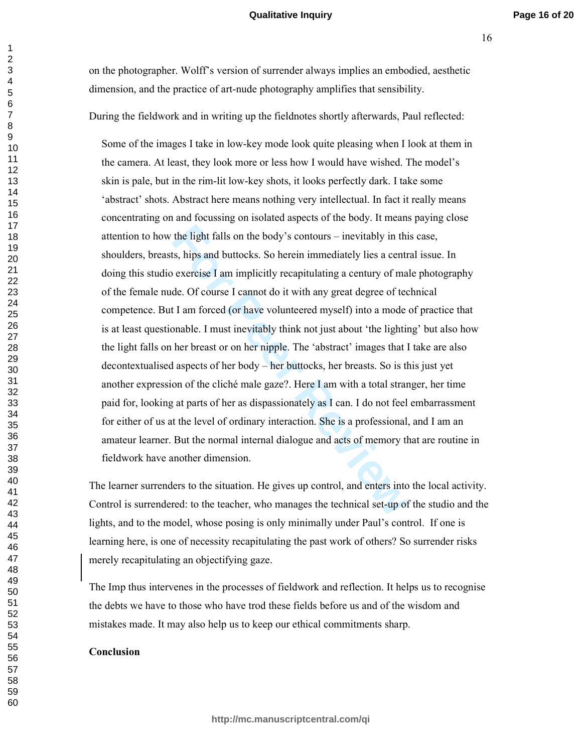on the photographer. Wolff's version of surrender always implies an embodied, aesthetic dimension, and the practice of art-nude photography amplifies that sensibility.

During the fieldwork and in writing up the fieldnotes shortly afterwards, Paul reflected:

the light falls on the body's contours – inevitably in thit, this, hips and buttocks. So herein immediately lies a centre exercise I am implicitly recapitulating a century of make. Of course I cannot do it with any great d Some of the images I take in low-key mode look quite pleasing when I look at them in the camera. At least, they look more or less how I would have wished. The model's skin is pale, but in the rim-lit low-key shots, it looks perfectly dark. I take some 'abstract' shots. Abstract here means nothing very intellectual. In fact it really means concentrating on and focussing on isolated aspects of the body. It means paying close attention to how the light falls on the body's contours – inevitably in this case, shoulders, breasts, hips and buttocks. So herein immediately lies a central issue. In doing this studio exercise I am implicitly recapitulating a century of male photography of the female nude. Of course I cannot do it with any great degree of technical competence. But I am forced (or have volunteered myself) into a mode of practice that is at least questionable. I must inevitably think not just about 'the lighting' but also how the light falls on her breast or on her nipple. The 'abstract' images that I take are also decontextualised aspects of her body – her buttocks, her breasts. So is this just yet another expression of the cliché male gaze?. Here I am with a total stranger, her time paid for, looking at parts of her as dispassionately as I can. I do not feel embarrassment for either of us at the level of ordinary interaction. She is a professional, and I am an amateur learner. But the normal internal dialogue and acts of memory that are routine in fieldwork have another dimension.

The learner surrenders to the situation. He gives up control, and enters into the local activity. Control is surrendered: to the teacher, who manages the technical set-up of the studio and the lights, and to the model, whose posing is only minimally under Paul's control. If one is learning here, is one of necessity recapitulating the past work of others? So surrender risks merely recapitulating an objectifying gaze.

The Imp thus intervenes in the processes of fieldwork and reflection. It helps us to recognise the debts we have to those who have trod these fields before us and of the wisdom and mistakes made. It may also help us to keep our ethical commitments sharp.

#### **Conclusion**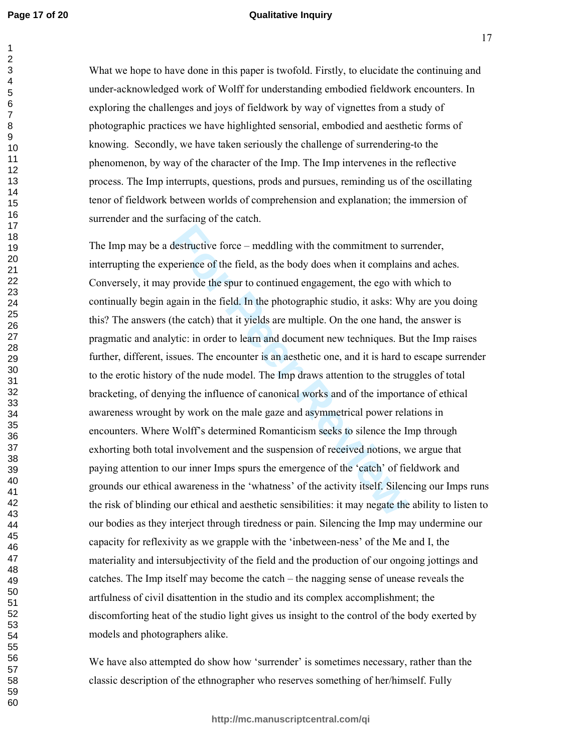$\mathbf{1}$ 

#### **Qualitative Inquiry**

What we hope to have done in this paper is twofold. Firstly, to elucidate the continuing and under-acknowledged work of Wolff for understanding embodied fieldwork encounters. In exploring the challenges and joys of fieldwork by way of vignettes from a study of photographic practices we have highlighted sensorial, embodied and aesthetic forms of knowing. Secondly, we have taken seriously the challenge of surrendering-to the phenomenon, by way of the character of the Imp. The Imp intervenes in the reflective process. The Imp interrupts, questions, prods and pursues, reminding us of the oscillating tenor of fieldwork between worlds of comprehension and explanation; the immersion of surrender and the surfacing of the catch.

destructive force – meddling with the commitment to su<br>perience of the field, as the body does when it complains<br>provide the spur to continued engagement, the ego with<br>gain in the field. In the photographic studio, it asks The Imp may be a destructive force – meddling with the commitment to surrender, interrupting the experience of the field, as the body does when it complains and aches. Conversely, it may provide the spur to continued engagement, the ego with which to continually begin again in the field. In the photographic studio, it asks: Why are you doing this? The answers (the catch) that it yields are multiple. On the one hand, the answer is pragmatic and analytic: in order to learn and document new techniques. But the Imp raises further, different, issues. The encounter is an aesthetic one, and it is hard to escape surrender to the erotic history of the nude model. The Imp draws attention to the struggles of total bracketing, of denying the influence of canonical works and of the importance of ethical awareness wrought by work on the male gaze and asymmetrical power relations in encounters. Where Wolff's determined Romanticism seeks to silence the Imp through exhorting both total involvement and the suspension of received notions, we argue that paying attention to our inner Imps spurs the emergence of the 'catch' of fieldwork and grounds our ethical awareness in the 'whatness' of the activity itself. Silencing our Imps runs the risk of blinding our ethical and aesthetic sensibilities: it may negate the ability to listen to our bodies as they interject through tiredness or pain. Silencing the Imp may undermine our capacity for reflexivity as we grapple with the 'inbetween-ness' of the Me and I, the materiality and intersubjectivity of the field and the production of our ongoing jottings and catches. The Imp itself may become the catch – the nagging sense of unease reveals the artfulness of civil disattention in the studio and its complex accomplishment; the discomforting heat of the studio light gives us insight to the control of the body exerted by models and photographers alike.

We have also attempted do show how 'surrender' is sometimes necessary, rather than the classic description of the ethnographer who reserves something of her/himself. Fully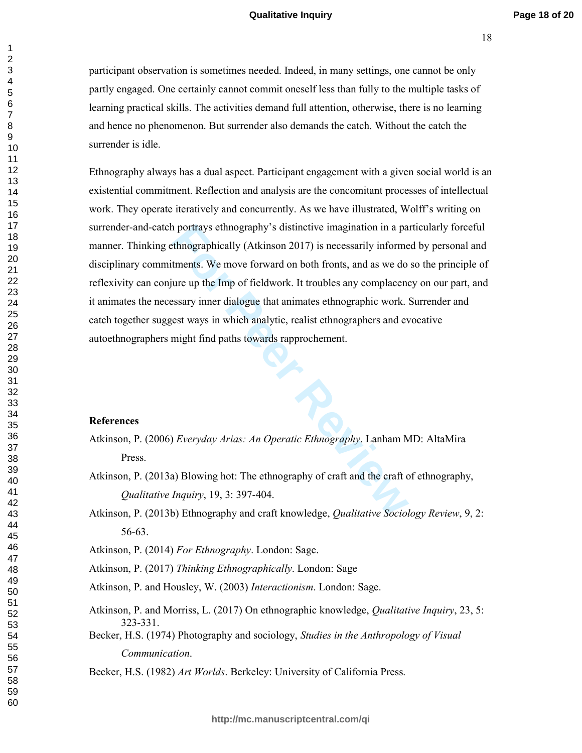participant observation is sometimes needed. Indeed, in many settings, one cannot be only partly engaged. One certainly cannot commit oneself less than fully to the multiple tasks of learning practical skills. The activities demand full attention, otherwise, there is no learning and hence no phenomenon. But surrender also demands the catch. Without the catch the surrender is idle.

If portrays ethnography's distinctive imagination in a pa<br>thnographically (Atkinson 2017) is necessarily informe<br>tments. We move forward on both fronts, and as we do<br>ure up the Imp of fieldwork. It troubles any complacene<br> Ethnography always has a dual aspect. Participant engagement with a given social world is an existential commitment. Reflection and analysis are the concomitant processes of intellectual work. They operate iteratively and concurrently. As we have illustrated, Wolff's writing on surrender-and-catch portrays ethnography's distinctive imagination in a particularly forceful manner. Thinking ethnographically (Atkinson 2017) is necessarily informed by personal and disciplinary commitments. We move forward on both fronts, and as we do so the principle of reflexivity can conjure up the Imp of fieldwork. It troubles any complacency on our part, and it animates the necessary inner dialogue that animates ethnographic work. Surrender and catch together suggest ways in which analytic, realist ethnographers and evocative autoethnographers might find paths towards rapprochement.

#### **References**

- Atkinson, P. (2006) *Everyday Arias: An Operatic Ethnography*. Lanham MD: AltaMira Press.
- Atkinson, P. (2013a) Blowing hot: The ethnography of craft and the craft of ethnography, *Qualitative Inquiry*, 19, 3: 397-404.
- Atkinson, P. (2013b) Ethnography and craft knowledge, *Qualitative Sociology Review*, 9, 2: 56-63.
- Atkinson, P. (2014) *For Ethnography*. London: Sage.
- Atkinson, P. (2017) *Thinking Ethnographically*. London: Sage
- Atkinson, P. and Housley, W. (2003) *Interactionism*. London: Sage.
- Atkinson, P. and Morriss, L. (2017) On ethnographic knowledge, *Qualitative Inquiry*, 23, 5: 323-331.
- Becker, H.S. (1974) Photography and sociology, *Studies in the Anthropology of Visual Communication*.

Becker, H.S. (1982) *Art Worlds*. Berkeley: University of California Press.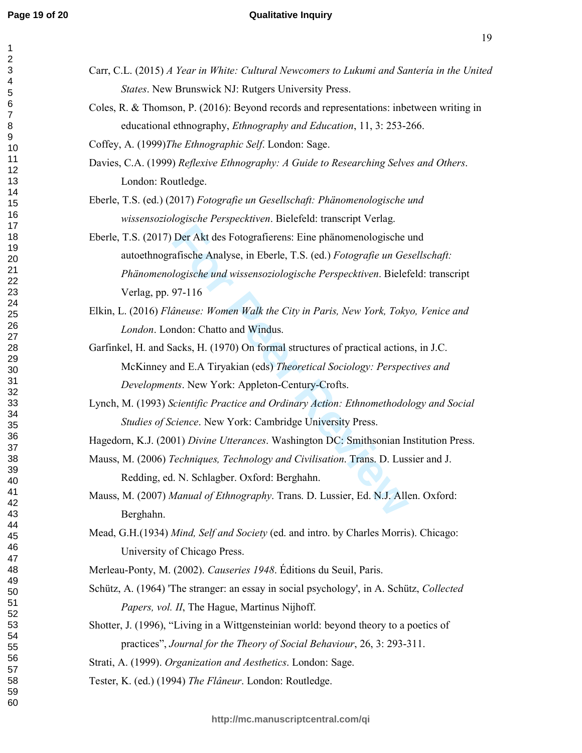$\mathbf 1$  $\overline{2}$ 3  $\overline{\mathbf{4}}$  $\overline{5}$  $\,6$  $\overline{7}$  $\bf 8$  $\boldsymbol{9}$ 

#### **Qualitative Inquiry**

19

| Carr, C.L. (2015) A Year in White: Cultural Newcomers to Lukumi and Santería in the United |  |
|--------------------------------------------------------------------------------------------|--|
| States. New Brunswick NJ: Rutgers University Press.                                        |  |
| Coles, R. & Thomson, P. (2016): Beyond records and representations: inbetween writing in   |  |
| educational ethnography, <i>Ethnography and Education</i> , 11, 3: 253-266.                |  |
| Coffey, A. (1999)The Ethnographic Self. London: Sage.                                      |  |
| Davies, C.A. (1999) Reflexive Ethnography: A Guide to Researching Selves and Others.       |  |
| London: Routledge.                                                                         |  |
| Eberle, T.S. (ed.) (2017) Fotografie un Gesellschaft: Phänomenologische und                |  |
| wissensoziologische Perspecktiven. Bielefeld: transcript Verlag.                           |  |
| Eberle, T.S. (2017) Der Akt des Fotografierens: Eine phänomenologische und                 |  |
| autoethnografische Analyse, in Eberle, T.S. (ed.) Fotografie un Gesellschaft:              |  |
| Phänomenologische und wissensoziologische Perspecktiven. Bielefeld: transcript             |  |
| Verlag, pp. 97-116                                                                         |  |
| Elkin, L. (2016) Flâneuse: Women Walk the City in Paris, New York, Tokyo, Venice and       |  |
| London. London: Chatto and Windus.                                                         |  |
| Garfinkel, H. and Sacks, H. (1970) On formal structures of practical actions, in J.C.      |  |
| McKinney and E.A Tiryakian (eds) Theoretical Sociology: Perspectives and                   |  |
| Developments. New York: Appleton-Century-Crofts.                                           |  |
| Lynch, M. (1993) Scientific Practice and Ordinary Action: Ethnomethodology and Social      |  |
| Studies of Science. New York: Cambridge University Press.                                  |  |
| Hagedorn, K.J. (2001) Divine Utterances. Washington DC: Smithsonian Institution Press.     |  |
| Mauss, M. (2006) Techniques, Technology and Civilisation. Trans. D. Lussier and J.         |  |
| Redding, ed. N. Schlagber. Oxford: Berghahn.                                               |  |
| Mauss, M. (2007) Manual of Ethnography. Trans. D. Lussier, Ed. N.J. Allen. Oxford:         |  |
| Berghahn.                                                                                  |  |
| Mead, G.H.(1934) Mind, Self and Society (ed. and intro. by Charles Morris). Chicago:       |  |
| University of Chicago Press.                                                               |  |
| Merleau-Ponty, M. (2002). Causeries 1948. Éditions du Seuil, Paris.                        |  |
| Schütz, A. (1964) 'The stranger: an essay in social psychology', in A. Schütz, Collected   |  |
| Papers, vol. II, The Hague, Martinus Nijhoff.                                              |  |
| Shotter, J. (1996), "Living in a Wittgensteinian world: beyond theory to a poetics of      |  |
| practices", Journal for the Theory of Social Behaviour, 26, 3: 293-311.                    |  |
| Strati, A. (1999). Organization and Aesthetics. London: Sage.                              |  |
| Tester, K. (ed.) (1994) The Flâneur. London: Routledge.                                    |  |

**http://mc.manuscriptcentral.com/qi**